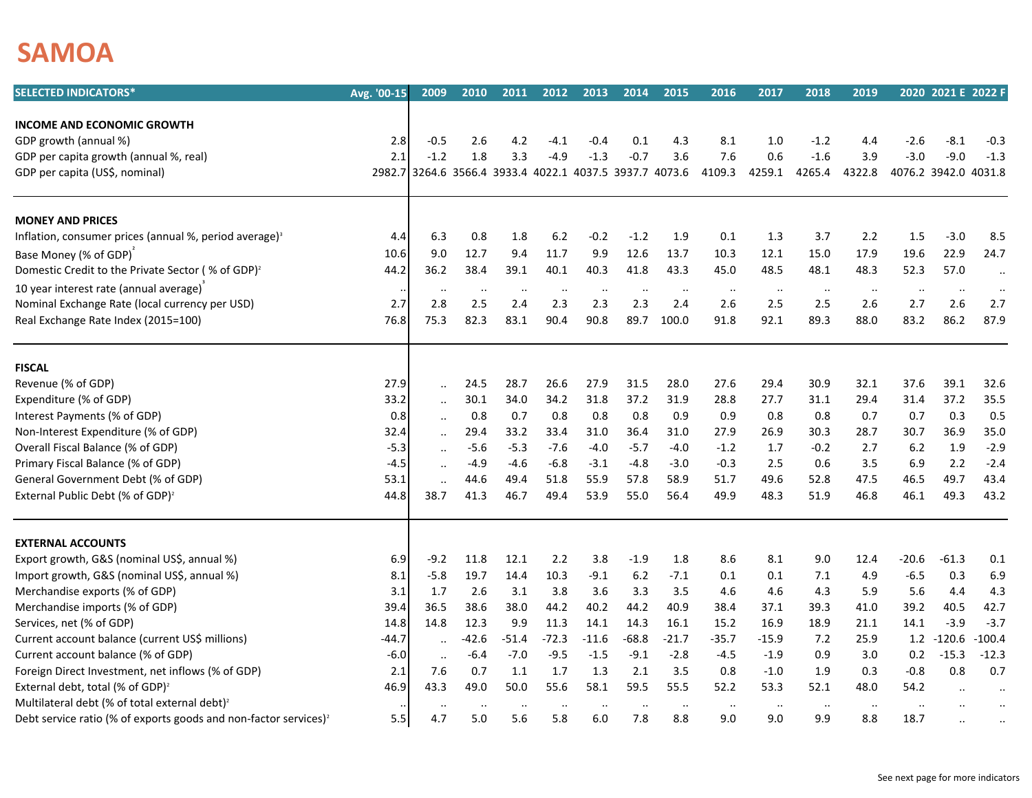## **SAMOA**

| <b>SELECTED INDICATORS*</b>                                                  | Avg. '00-15 | 2009                                             | 2010                 | 2011                 | 2012      | 2013          | 2014                 | 2015      | 2016         | 2017                 | 2018                 | 2019                 |                      | 2020 2021 E 2022 F |                      |
|------------------------------------------------------------------------------|-------------|--------------------------------------------------|----------------------|----------------------|-----------|---------------|----------------------|-----------|--------------|----------------------|----------------------|----------------------|----------------------|--------------------|----------------------|
|                                                                              |             |                                                  |                      |                      |           |               |                      |           |              |                      |                      |                      |                      |                    |                      |
| <b>INCOME AND ECONOMIC GROWTH</b>                                            |             |                                                  |                      |                      |           |               |                      |           |              |                      |                      |                      |                      |                    |                      |
| GDP growth (annual %)                                                        | 2.8         | $-0.5$                                           | 2.6                  | 4.2                  | $-4.1$    | $-0.4$        | 0.1                  | 4.3       | 8.1          | 1.0                  | $-1.2$               | 4.4                  | $-2.6$               | $-8.1$             | $-0.3$               |
| GDP per capita growth (annual %, real)                                       | 2.1         | $-1.2$                                           | 1.8                  | 3.3                  | $-4.9$    | $-1.3$        | $-0.7$               | 3.6       | 7.6          | 0.6                  | $-1.6$               | 3.9                  | $-3.0$               | $-9.0$             | $-1.3$               |
| GDP per capita (US\$, nominal)                                               | 2982.7      | 3264.6 3566.4 3933.4 4022.1 4037.5 3937.7 4073.6 |                      |                      |           |               |                      |           | 4109.3       | 4259.1               | 4265.4               | 4322.8               | 4076.2 3942.0 4031.8 |                    |                      |
| <b>MONEY AND PRICES</b>                                                      |             |                                                  |                      |                      |           |               |                      |           |              |                      |                      |                      |                      |                    |                      |
| Inflation, consumer prices (annual %, period average) <sup>3</sup>           | 4.4         | 6.3                                              | 0.8                  | 1.8                  | 6.2       | $-0.2$        | $-1.2$               | 1.9       | 0.1          | 1.3                  | 3.7                  | 2.2                  | 1.5                  | $-3.0$             | 8.5                  |
| Base Money (% of GDP)                                                        | 10.6        | 9.0                                              | 12.7                 | 9.4                  | 11.7      | 9.9           | 12.6                 | 13.7      | 10.3         | 12.1                 | 15.0                 | 17.9                 | 19.6                 | 22.9               | 24.7                 |
| Domestic Credit to the Private Sector (% of GDP) <sup>2</sup>                | 44.2        | 36.2                                             | 38.4                 | 39.1                 | 40.1      | 40.3          | 41.8                 | 43.3      | 45.0         | 48.5                 | 48.1                 | 48.3                 | 52.3                 | 57.0               | $\ddotsc$            |
| 10 year interest rate (annual average)                                       |             | $\cdot \cdot$                                    | $\ddot{\phantom{0}}$ | $\ddot{\phantom{a}}$ | $\ddotsc$ | $\ddotsc$     | $\ddotsc$            | $\ldots$  | $\cdot\cdot$ | $\cdot\cdot$         | $\cdot\cdot$         | $\cdot\cdot$         | $\ddot{\phantom{0}}$ | $\ddotsc$          | $\ddot{\phantom{a}}$ |
| Nominal Exchange Rate (local currency per USD)                               | 2.7         | 2.8                                              | 2.5                  | 2.4                  | 2.3       | 2.3           | 2.3                  | 2.4       | 2.6          | 2.5                  | 2.5                  | 2.6                  | 2.7                  | 2.6                | 2.7                  |
| Real Exchange Rate Index (2015=100)                                          | 76.8        | 75.3                                             | 82.3                 | 83.1                 | 90.4      | 90.8          | 89.7                 | 100.0     | 91.8         | 92.1                 | 89.3                 | 88.0                 | 83.2                 | 86.2               | 87.9                 |
| <b>FISCAL</b>                                                                |             |                                                  |                      |                      |           |               |                      |           |              |                      |                      |                      |                      |                    |                      |
| Revenue (% of GDP)                                                           | 27.9        | $\ddots$                                         | 24.5                 | 28.7                 | 26.6      | 27.9          | 31.5                 | 28.0      | 27.6         | 29.4                 | 30.9                 | 32.1                 | 37.6                 | 39.1               | 32.6                 |
| Expenditure (% of GDP)                                                       | 33.2        | $\ddotsc$                                        | 30.1                 | 34.0                 | 34.2      | 31.8          | 37.2                 | 31.9      | 28.8         | 27.7                 | 31.1                 | 29.4                 | 31.4                 | 37.2               | 35.5                 |
| Interest Payments (% of GDP)                                                 | 0.8         | $\ddotsc$                                        | 0.8                  | 0.7                  | 0.8       | 0.8           | 0.8                  | 0.9       | 0.9          | 0.8                  | 0.8                  | 0.7                  | 0.7                  | 0.3                | 0.5                  |
| Non-Interest Expenditure (% of GDP)                                          | 32.4        | $\ddotsc$                                        | 29.4                 | 33.2                 | 33.4      | 31.0          | 36.4                 | 31.0      | 27.9         | 26.9                 | 30.3                 | 28.7                 | 30.7                 | 36.9               | 35.0                 |
| Overall Fiscal Balance (% of GDP)                                            | $-5.3$      | $\ldots$                                         | $-5.6$               | $-5.3$               | $-7.6$    | $-4.0$        | $-5.7$               | $-4.0$    | $-1.2$       | 1.7                  | $-0.2$               | 2.7                  | 6.2                  | 1.9                | $-2.9$               |
| Primary Fiscal Balance (% of GDP)                                            | $-4.5$      | $\ddotsc$                                        | $-4.9$               | $-4.6$               | $-6.8$    | $-3.1$        | $-4.8$               | $-3.0$    | $-0.3$       | 2.5                  | 0.6                  | 3.5                  | 6.9                  | 2.2                | $-2.4$               |
| General Government Debt (% of GDP)                                           | 53.1        | $\ddotsc$                                        | 44.6                 | 49.4                 | 51.8      | 55.9          | 57.8                 | 58.9      | 51.7         | 49.6                 | 52.8                 | 47.5                 | 46.5                 | 49.7               | 43.4                 |
| External Public Debt (% of GDP) <sup>2</sup>                                 | 44.8        | 38.7                                             | 41.3                 | 46.7                 | 49.4      | 53.9          | 55.0                 | 56.4      | 49.9         | 48.3                 | 51.9                 | 46.8                 | 46.1                 | 49.3               | 43.2                 |
| <b>EXTERNAL ACCOUNTS</b>                                                     |             |                                                  |                      |                      |           |               |                      |           |              |                      |                      |                      |                      |                    |                      |
| Export growth, G&S (nominal US\$, annual %)                                  | 6.9         | $-9.2$                                           | 11.8                 | 12.1                 | 2.2       | 3.8           | $-1.9$               | 1.8       | 8.6          | 8.1                  | 9.0                  | 12.4                 | $-20.6$              | $-61.3$            | 0.1                  |
| Import growth, G&S (nominal US\$, annual %)                                  | 8.1         | $-5.8$                                           | 19.7                 | 14.4                 | 10.3      | $-9.1$        | 6.2                  | $-7.1$    | 0.1          | 0.1                  | 7.1                  | 4.9                  | $-6.5$               | 0.3                | 6.9                  |
| Merchandise exports (% of GDP)                                               | 3.1         | 1.7                                              | 2.6                  | 3.1                  | 3.8       | 3.6           | 3.3                  | 3.5       | 4.6          | 4.6                  | 4.3                  | 5.9                  | 5.6                  | 4.4                | 4.3                  |
| Merchandise imports (% of GDP)                                               | 39.4        | 36.5                                             | 38.6                 | 38.0                 | 44.2      | 40.2          | 44.2                 | 40.9      | 38.4         | 37.1                 | 39.3                 | 41.0                 | 39.2                 | 40.5               | 42.7                 |
| Services, net (% of GDP)                                                     | 14.8        | 14.8                                             | 12.3                 | 9.9                  | 11.3      | 14.1          | 14.3                 | 16.1      | 15.2         | 16.9                 | 18.9                 | 21.1                 | 14.1                 | $-3.9$             | $-3.7$               |
| Current account balance (current US\$ millions)                              | -44.7       | $\ddot{\phantom{a}}$                             | $-42.6$              | $-51.4$              | $-72.3$   | $-11.6$       | $-68.8$              | $-21.7$   | -35.7        | $-15.9$              | 7.2                  | 25.9                 |                      | $1.2 - 120.6$      | $-100.4$             |
| Current account balance (% of GDP)                                           | -6.0        | $\ddotsc$                                        | $-6.4$               | $-7.0$               | $-9.5$    | $-1.5$        | $-9.1$               | $-2.8$    | $-4.5$       | $-1.9$               | 0.9                  | 3.0                  | 0.2                  | $-15.3$            | $-12.3$              |
| Foreign Direct Investment, net inflows (% of GDP)                            | 2.1         | 7.6                                              | 0.7                  | 1.1                  | 1.7       | 1.3           | 2.1                  | 3.5       | 0.8          | -1.0                 | 1.9                  | 0.3                  | $-0.8$               | 0.8                | 0.7                  |
| External debt, total (% of GDP) <sup>2</sup>                                 | 46.9        | 43.3                                             | 49.0                 | 50.0                 | 55.6      | 58.1          | 59.5                 | 55.5      | 52.2         | 53.3                 | 52.1                 | 48.0                 | 54.2                 |                    |                      |
| Multilateral debt (% of total external debt) <sup>2</sup>                    |             | $\cdot \cdot$                                    | $\ddotsc$            | $\cdot$ .            | $\cdot$   | $\cdot \cdot$ | $\ddot{\phantom{a}}$ | $\ddotsc$ | $\cdot$ .    | $\ddot{\phantom{0}}$ | $\ddot{\phantom{0}}$ | $\ddot{\phantom{a}}$ | $\ddot{\phantom{a}}$ |                    | $\ddot{\phantom{a}}$ |
| Debt service ratio (% of exports goods and non-factor services) <sup>2</sup> | 5.5         | 4.7                                              | 5.0                  | 5.6                  | 5.8       | 6.0           | 7.8                  | 8.8       | 9.0          | 9.0                  | 9.9                  | 8.8                  | 18.7                 |                    | $\ddot{\phantom{0}}$ |